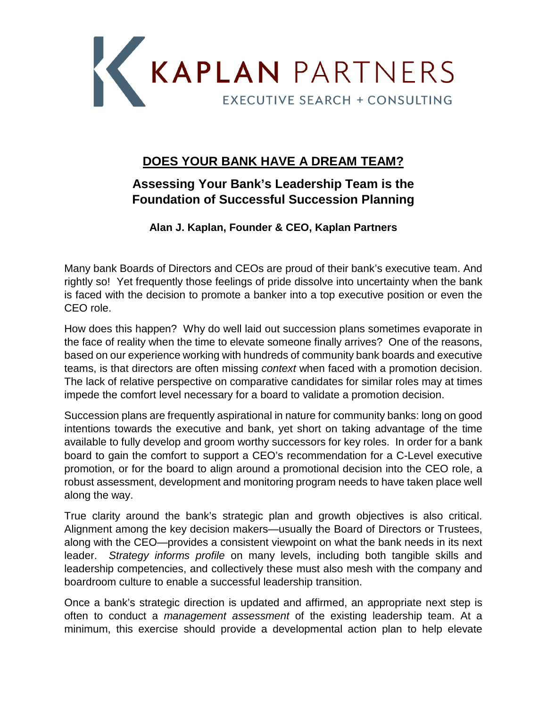

## **DOES YOUR BANK HAVE A DREAM TEAM?**

## **Assessing Your Bank's Leadership Team is the Foundation of Successful Succession Planning**

**Alan J. Kaplan, Founder & CEO, Kaplan Partners**

Many bank Boards of Directors and CEOs are proud of their bank's executive team. And rightly so! Yet frequently those feelings of pride dissolve into uncertainty when the bank is faced with the decision to promote a banker into a top executive position or even the CEO role.

How does this happen? Why do well laid out succession plans sometimes evaporate in the face of reality when the time to elevate someone finally arrives? One of the reasons, based on our experience working with hundreds of community bank boards and executive teams, is that directors are often missing *context* when faced with a promotion decision. The lack of relative perspective on comparative candidates for similar roles may at times impede the comfort level necessary for a board to validate a promotion decision.

Succession plans are frequently aspirational in nature for community banks: long on good intentions towards the executive and bank, yet short on taking advantage of the time available to fully develop and groom worthy successors for key roles. In order for a bank board to gain the comfort to support a CEO's recommendation for a C-Level executive promotion, or for the board to align around a promotional decision into the CEO role, a robust assessment, development and monitoring program needs to have taken place well along the way.

True clarity around the bank's strategic plan and growth objectives is also critical. Alignment among the key decision makers—usually the Board of Directors or Trustees, along with the CEO—provides a consistent viewpoint on what the bank needs in its next leader. *Strategy informs profile* on many levels, including both tangible skills and leadership competencies, and collectively these must also mesh with the company and boardroom culture to enable a successful leadership transition.

Once a bank's strategic direction is updated and affirmed, an appropriate next step is often to conduct a *management assessment* of the existing leadership team. At a minimum, this exercise should provide a developmental action plan to help elevate